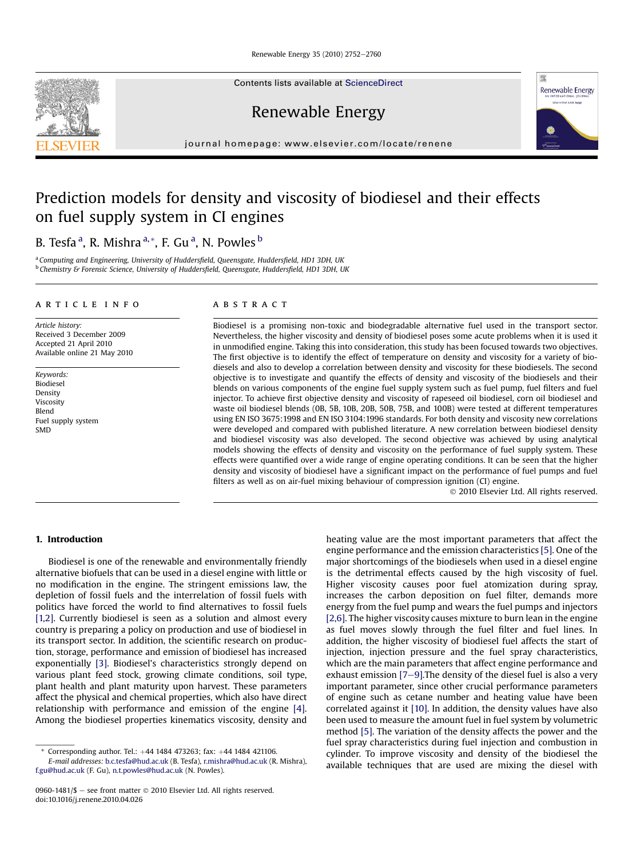Renewable Energy 35 (2010) 2752-2760

Contents lists available at ScienceDirect

Renewable Energy

journal homepage: [www.elsevier.com/locate/renene](http://www.elsevier.com/locate/renene)

# Prediction models for density and viscosity of biodiesel and their effects on fuel supply system in CI engines

B. Tesfa <sup>a</sup>, R. Mishra <sup>a,</sup>\*, F. Gu <sup>a</sup>, N. Powles <sup>b</sup>

<sup>a</sup> Computing and Engineering, University of Huddersfield, Queensgate, Huddersfield, HD1 3DH, UK <sup>b</sup> Chemistry & Forensic Science, University of Huddersfield, Queensgate, Huddersfield, HD1 3DH, UK

#### article info

Article history: Received 3 December 2009 Accepted 21 April 2010 Available online 21 May 2010

Keywords: Biodiesel Density Viscosity Blend Fuel supply system SMD

## **ABSTRACT**

Biodiesel is a promising non-toxic and biodegradable alternative fuel used in the transport sector. Nevertheless, the higher viscosity and density of biodiesel poses some acute problems when it is used it in unmodified engine. Taking this into consideration, this study has been focused towards two objectives. The first objective is to identify the effect of temperature on density and viscosity for a variety of biodiesels and also to develop a correlation between density and viscosity for these biodiesels. The second objective is to investigate and quantify the effects of density and viscosity of the biodiesels and their blends on various components of the engine fuel supply system such as fuel pump, fuel filters and fuel injector. To achieve first objective density and viscosity of rapeseed oil biodiesel, corn oil biodiesel and waste oil biodiesel blends (0B, 5B, 10B, 20B, 50B, 75B, and 100B) were tested at different temperatures using EN ISO 3675:1998 and EN ISO 3104:1996 standards. For both density and viscosity new correlations were developed and compared with published literature. A new correlation between biodiesel density and biodiesel viscosity was also developed. The second objective was achieved by using analytical models showing the effects of density and viscosity on the performance of fuel supply system. These effects were quantified over a wide range of engine operating conditions. It can be seen that the higher density and viscosity of biodiesel have a significant impact on the performance of fuel pumps and fuel filters as well as on air-fuel mixing behaviour of compression ignition (CI) engine.

2010 Elsevier Ltd. All rights reserved.

### 1. Introduction

Biodiesel is one of the renewable and environmentally friendly alternative biofuels that can be used in a diesel engine with little or no modification in the engine. The stringent emissions law, the depletion of fossil fuels and the interrelation of fossil fuels with politics have forced the world to find alternatives to fossil fuels [\[1,2\]](#page-7-0). Currently biodiesel is seen as a solution and almost every country is preparing a policy on production and use of biodiesel in its transport sector. In addition, the scientific research on production, storage, performance and emission of biodiesel has increased exponentially [\[3\].](#page-7-0) Biodiesel's characteristics strongly depend on various plant feed stock, growing climate conditions, soil type, plant health and plant maturity upon harvest. These parameters affect the physical and chemical properties, which also have direct relationship with performance and emission of the engine [\[4\]](#page-7-0). Among the biodiesel properties kinematics viscosity, density and

 $*$  Corresponding author. Tel.:  $+44$  1484 473263; fax:  $+44$  1484 421106. E-mail addresses: [b.c.tesfa@hud.ac.uk](mailto:b.c.tesfa@hud.ac.uk) (B. Tesfa), [r.mishra@hud.ac.uk](mailto:r.mishra@hud.ac.uk) (R. Mishra), [f.gu@hud.ac.uk](mailto:f.gu@hud.ac.uk) (F. Gu), [n.t.powles@hud.ac.uk](mailto:n.t.powles@hud.ac.uk) (N. Powles).

heating value are the most important parameters that affect the engine performance and the emission characteristics [\[5\].](#page-7-0) One of the major shortcomings of the biodiesels when used in a diesel engine is the detrimental effects caused by the high viscosity of fuel. Higher viscosity causes poor fuel atomization during spray, increases the carbon deposition on fuel filter, demands more energy from the fuel pump and wears the fuel pumps and injectors [\[2,6\]](#page-7-0). The higher viscosity causes mixture to burn lean in the engine as fuel moves slowly through the fuel filter and fuel lines. In addition, the higher viscosity of biodiesel fuel affects the start of injection, injection pressure and the fuel spray characteristics, which are the main parameters that affect engine performance and exhaust emission  $[7-9]$  $[7-9]$  $[7-9]$ . The density of the diesel fuel is also a very important parameter, since other crucial performance parameters of engine such as cetane number and heating value have been correlated against it [\[10\]](#page-8-0). In addition, the density values have also been used to measure the amount fuel in fuel system by volumetric method [\[5\]](#page-7-0). The variation of the density affects the power and the fuel spray characteristics during fuel injection and combustion in cylinder. To improve viscosity and density of the biodiesel the available techniques that are used are mixing the diesel with





<sup>0960-1481/\$ -</sup> see front matter  $\odot$  2010 Elsevier Ltd. All rights reserved. doi:10.1016/j.renene.2010.04.026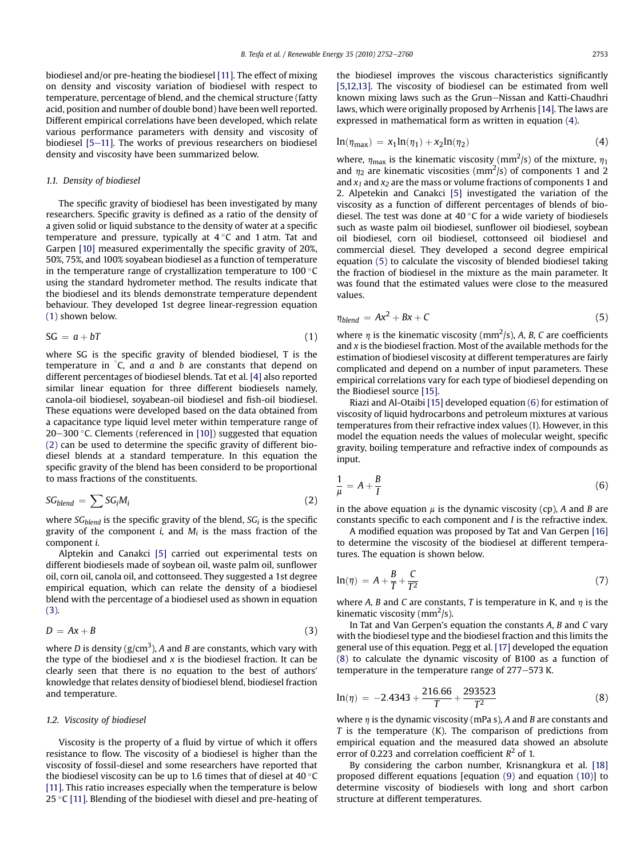<span id="page-1-0"></span>biodiesel and/or pre-heating the biodiesel [\[11\].](#page-8-0) The effect of mixing on density and viscosity variation of biodiesel with respect to temperature, percentage of blend, and the chemical structure (fatty acid, position and number of double bond) have been well reported. Different empirical correlations have been developed, which relate various performance parameters with density and viscosity of biodiesel  $[5-11]$  $[5-11]$ . The works of previous researchers on biodiesel density and viscosity have been summarized below.

# 1.1. Density of biodiesel

The specific gravity of biodiesel has been investigated by many researchers. Specific gravity is defined as a ratio of the density of a given solid or liquid substance to the density of water at a specific temperature and pressure, typically at 4  $^{\circ}$ C and 1 atm. Tat and Garpen [\[10\]](#page-8-0) measured experimentally the specific gravity of 20%, 50%, 75%, and 100% soyabean biodiesel as a function of temperature in the temperature range of crystallization temperature to 100  $^{\circ} \mathrm{C}$ using the standard hydrometer method. The results indicate that the biodiesel and its blends demonstrate temperature dependent behaviour. They developed 1st degree linear-regression equation (1) shown below.

$$
SG = a + bT \tag{1}
$$

where SG is the specific gravity of blended biodiesel, T is the temperature in  $\degree$ C, and a and b are constants that depend on different percentages of biodiesel blends. Tat et al. [\[4\]](#page-7-0) also reported similar linear equation for three different biodiesels namely, canola-oil biodiesel, soyabean-oil biodiesel and fish-oil biodiesel. These equations were developed based on the data obtained from a capacitance type liquid level meter within temperature range of 20–300 °C. Clements (referenced in [\[10\]\)](#page-8-0) suggested that equation (2) can be used to determine the specific gravity of different biodiesel blends at a standard temperature. In this equation the specific gravity of the blend has been considerd to be proportional to mass fractions of the constituents.

$$
SG_{blend} = \sum SG_i M_i \tag{2}
$$

where  $SG_{blend}$  is the specific gravity of the blend,  $SG_i$  is the specific gravity of the component *i*, and  $M_i$  is the mass fraction of the component i.

Alptekin and Canakci [\[5\]](#page-7-0) carried out experimental tests on different biodiesels made of soybean oil, waste palm oil, sunflower oil, corn oil, canola oil, and cottonseed. They suggested a 1st degree empirical equation, which can relate the density of a biodiesel blend with the percentage of a biodiesel used as shown in equation (3).

$$
D = Ax + B \tag{3}
$$

where D is density (g/cm<sup>3</sup>), A and B are constants, which vary with the type of the biodiesel and  $x$  is the biodiesel fraction. It can be clearly seen that there is no equation to the best of authors' knowledge that relates density of biodiesel blend, biodiesel fraction and temperature.

#### 1.2. Viscosity of biodiesel

Viscosity is the property of a fluid by virtue of which it offers resistance to flow. The viscosity of a biodiesel is higher than the viscosity of fossil-diesel and some researchers have reported that the biodiesel viscosity can be up to 1.6 times that of diesel at 40  $^{\circ}$ C [\[11\]](#page-8-0). This ratio increases especially when the temperature is below 25 °C [\[11\]](#page-8-0). Blending of the biodiesel with diesel and pre-heating of

the biodiesel improves the viscous characteristics significantly [\[5,12,13\].](#page-7-0) The viscosity of biodiesel can be estimated from well known mixing laws such as the Grun-Nissan and Katti-Chaudhri laws, which were originally proposed by Arrhenis [\[14\].](#page-8-0) The laws are expressed in mathematical form as written in equation (4).

$$
\ln(\eta_{\text{max}}) = x_1 \ln(\eta_1) + x_2 \ln(\eta_2) \tag{4}
$$

where,  $\eta_{\text{max}}$  is the kinematic viscosity (mm<sup>2</sup>/s) of the mixture,  $\eta_1$ <br>and  $\eta_2$  are kinematic viscosities (mm<sup>2</sup>/s) of components 1 and 2 and  $\eta_2$  are kinematic viscosities ( $\text{mm}^2/\text{s}$ ) of components 1 and 2<br>and  $\chi_2$  and  $\chi_3$  are the mass or volume fractions of components 1 and and  $x_1$  and  $x_2$  are the mass or volume fractions of components 1 and 2. Alpetekin and Canakci [\[5\]](#page-7-0) investigated the variation of the viscosity as a function of different percentages of blends of biodiesel. The test was done at 40  $\degree$ C for a wide variety of biodiesels such as waste palm oil biodiesel, sunflower oil biodiesel, soybean oil biodiesel, corn oil biodiesel, cottonseed oil biodiesel and commercial diesel. They developed a second degree empirical equation (5) to calculate the viscosity of blended biodiesel taking the fraction of biodiesel in the mixture as the main parameter. It was found that the estimated values were close to the measured values.

$$
\eta_{\text{blend}} = Ax^2 + Bx + C \tag{5}
$$

where  $\eta$  is the kinematic viscosity (mm<sup>2</sup>/s), A, B, C are coefficients<br>and x is the biodiesel fraction. Most of the available methods for the and  $x$  is the biodiesel fraction. Most of the available methods for the estimation of biodiesel viscosity at different temperatures are fairly complicated and depend on a number of input parameters. These empirical correlations vary for each type of biodiesel depending on the Biodiesel source [\[15\].](#page-8-0)

Riazi and Al-Otaibi [\[15\]](#page-8-0) developed equation (6) for estimation of viscosity of liquid hydrocarbons and petroleum mixtures at various temperatures from their refractive index values (I). However, in this model the equation needs the values of molecular weight, specific gravity, boiling temperature and refractive index of compounds as input.

$$
\frac{1}{\mu} = A + \frac{B}{I} \tag{6}
$$

in the above equation  $\mu$  is the dynamic viscosity (cp), A and B are constants specific to each component and I is the refractive index.

A modified equation was proposed by Tat and Van Gerpen [\[16\]](#page-8-0) to determine the viscosity of the biodiesel at different temperatures. The equation is shown below.

$$
\ln(\eta) = A + \frac{B}{T} + \frac{C}{T^2} \tag{7}
$$

where A, B and C are constants, T is temperature in K, and  $\eta$  is the kinematic viscosity ( $mm^2/s$ ).

In Tat and Van Gerpen's equation the constants A, B and C vary with the biodiesel type and the biodiesel fraction and this limits the general use of this equation. Pegg et al. [\[17\]](#page-8-0) developed the equation (8) to calculate the dynamic viscosity of B100 as a function of temperature in the temperature range of  $277-573$  K.

$$
\ln(\eta) = -2.4343 + \frac{216.66}{T} + \frac{293523}{T^2}
$$
 (8)

where  $\eta$  is the dynamic viscosity (mPa s), A and B are constants and  $T$  is the temperature (K). The comparison of predictions from empirical equation and the measured data showed an absolute error of 0.223 and correlation coefficient  $R^2$  of 1.

By considering the carbon number, Krisnangkura et al. [\[18\]](#page-8-0) proposed different equations [equation [\(9\)](#page-2-0) and equation [\(10\)\]](#page-2-0) to determine viscosity of biodiesels with long and short carbon structure at different temperatures.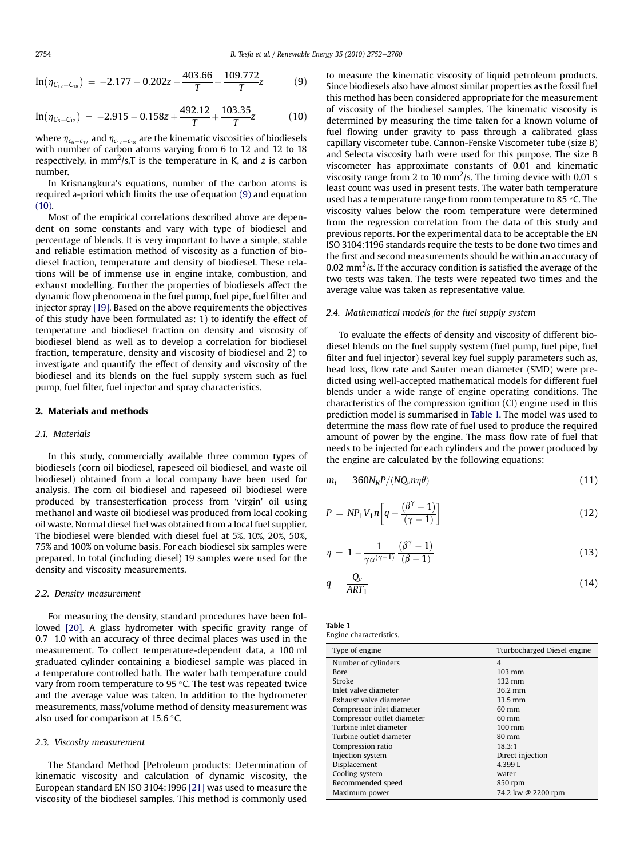<span id="page-2-0"></span>
$$
\ln(\eta_{C_{12}-C_{18}}) = -2.177 - 0.202z + \frac{403.66}{T} + \frac{109.772}{T}z \tag{9}
$$

$$
\ln(\eta_{C_6-C_{12}}) = -2.915 - 0.158z + \frac{492.12}{T} + \frac{103.35}{T}z \tag{10}
$$

where  $\eta_{c_6-c_{12}}$  and  $\eta_{c_{12}-c_{18}}$  are the kinematic viscosities of biodiesels with number of carbon atoms varying from 6 to 12 and 12 to 18 respectively, in mm<sup>2</sup>/s,T is the temperature in K, and z is carbon number.

In Krisnangkura's equations, number of the carbon atoms is required a-priori which limits the use of equation (9) and equation  $(10)$ .

Most of the empirical correlations described above are dependent on some constants and vary with type of biodiesel and percentage of blends. It is very important to have a simple, stable and reliable estimation method of viscosity as a function of biodiesel fraction, temperature and density of biodiesel. These relations will be of immense use in engine intake, combustion, and exhaust modelling. Further the properties of biodiesels affect the dynamic flow phenomena in the fuel pump, fuel pipe, fuel filter and injector spray [\[19\]](#page-8-0). Based on the above requirements the objectives of this study have been formulated as: 1) to identify the effect of temperature and biodiesel fraction on density and viscosity of biodiesel blend as well as to develop a correlation for biodiesel fraction, temperature, density and viscosity of biodiesel and 2) to investigate and quantify the effect of density and viscosity of the biodiesel and its blends on the fuel supply system such as fuel pump, fuel filter, fuel injector and spray characteristics.

#### 2. Materials and methods

#### 2.1. Materials

In this study, commercially available three common types of biodiesels (corn oil biodiesel, rapeseed oil biodiesel, and waste oil biodiesel) obtained from a local company have been used for analysis. The corn oil biodiesel and rapeseed oil biodiesel were produced by transesterfication process from 'virgin' oil using methanol and waste oil biodiesel was produced from local cooking oil waste. Normal diesel fuel was obtained from a local fuel supplier. The biodiesel were blended with diesel fuel at 5%, 10%, 20%, 50%, 75% and 100% on volume basis. For each biodiesel six samples were prepared. In total (including diesel) 19 samples were used for the density and viscosity measurements.

#### 2.2. Density measurement

For measuring the density, standard procedures have been followed [\[20\]](#page-8-0). A glass hydrometer with specific gravity range of  $0.7-1.0$  with an accuracy of three decimal places was used in the measurement. To collect temperature-dependent data, a 100 ml graduated cylinder containing a biodiesel sample was placed in a temperature controlled bath. The water bath temperature could vary from room temperature to 95  $^{\circ}$ C. The test was repeated twice and the average value was taken. In addition to the hydrometer measurements, mass/volume method of density measurement was also used for comparison at 15.6  $^{\circ}$ C.

#### 2.3. Viscosity measurement

The Standard Method [Petroleum products: Determination of kinematic viscosity and calculation of dynamic viscosity, the European standard EN ISO 3104:1996 [\[21\]](#page-8-0) was used to measure the viscosity of the biodiesel samples. This method is commonly used to measure the kinematic viscosity of liquid petroleum products. Since biodiesels also have almost similar properties as the fossil fuel this method has been considered appropriate for the measurement of viscosity of the biodiesel samples. The kinematic viscosity is determined by measuring the time taken for a known volume of fuel flowing under gravity to pass through a calibrated glass capillary viscometer tube. Cannon-Fenske Viscometer tube (size B) and Selecta viscosity bath were used for this purpose. The size B viscometer has approximate constants of 0.01 and kinematic viscosity range from 2 to 10 mm<sup>2</sup>/s. The timing device with 0.01 s least count was used in present tests. The water bath temperature used has a temperature range from room temperature to 85  $\degree$ C. The viscosity values below the room temperature were determined from the regression correlation from the data of this study and previous reports. For the experimental data to be acceptable the EN ISO 3104:1196 standards require the tests to be done two times and the first and second measurements should be within an accuracy of 0.02 mm<sup>2</sup>/s. If the accuracy condition is satisfied the average of the two tests was taken. The tests were repeated two times and the average value was taken as representative value.

#### 2.4. Mathematical models for the fuel supply system

To evaluate the effects of density and viscosity of different biodiesel blends on the fuel supply system (fuel pump, fuel pipe, fuel filter and fuel injector) several key fuel supply parameters such as, head loss, flow rate and Sauter mean diameter (SMD) were predicted using well-accepted mathematical models for different fuel blends under a wide range of engine operating conditions. The characteristics of the compression ignition (CI) engine used in this prediction model is summarised in Table 1. The model was used to determine the mass flow rate of fuel used to produce the required amount of power by the engine. The mass flow rate of fuel that needs to be injected for each cylinders and the power produced by the engine are calculated by the following equations:

$$
m_i = 360N_R P/(NQ_\nu n \eta \theta) \tag{11}
$$

$$
P = NP_1 V_1 n \left[ q - \frac{(\beta^{\gamma} - 1)}{(\gamma - 1)} \right]
$$
\n(12)

$$
\eta = 1 - \frac{1}{\gamma \alpha^{(\gamma - 1)}} \frac{(\beta^{\gamma} - 1)}{(\beta - 1)}
$$
(13)

$$
q = \frac{Q_{\nu}}{ART_1} \tag{14}
$$

Table 1 en<br>Engine characteristics.

| Engine cnaracteristic |  |  |  |
|-----------------------|--|--|--|
|                       |  |  |  |

| Type of engine             | Tturbocharged Diesel engine |  |  |  |
|----------------------------|-----------------------------|--|--|--|
| Number of cylinders        | 4                           |  |  |  |
| Bore                       | $103 \text{ mm}$            |  |  |  |
| Stroke                     | 132 mm                      |  |  |  |
| Inlet valve diameter       | 36.2 mm                     |  |  |  |
| Exhaust valve diameter     | 33.5 mm                     |  |  |  |
| Compressor inlet diameter  | $60 \text{ mm}$             |  |  |  |
| Compressor outlet diameter | $60 \text{ mm}$             |  |  |  |
| Turbine inlet diameter     | $100 \text{ mm}$            |  |  |  |
| Turbine outlet diameter    | 80 mm                       |  |  |  |
| Compression ratio          | 18.3:1                      |  |  |  |
| Injection system           | Direct injection            |  |  |  |
| Displacement               | 4.399 L                     |  |  |  |
| Cooling system             | water                       |  |  |  |
| Recommended speed          | 850 rpm                     |  |  |  |
| Maximum power              | 74.2 kw @ 2200 rpm          |  |  |  |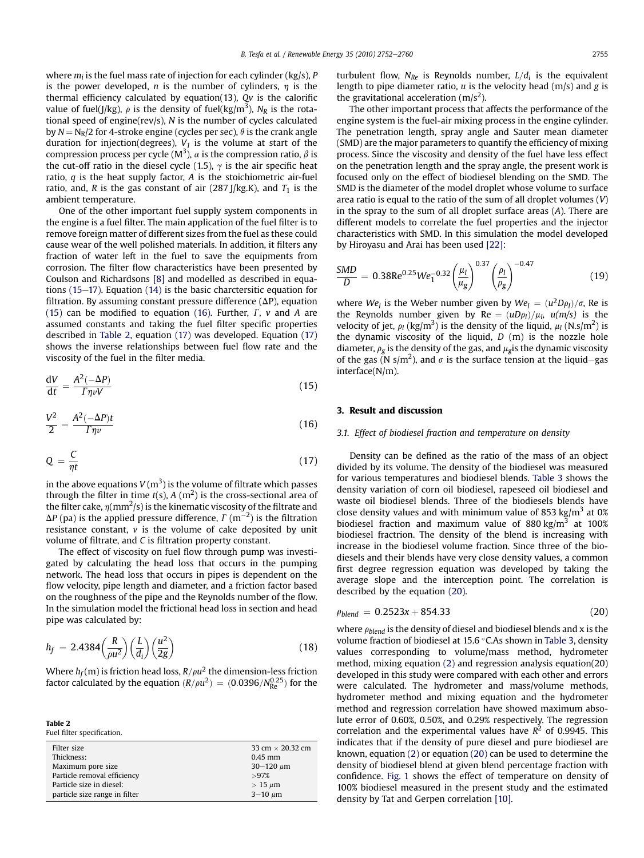where  $m_i$  is the fuel mass rate of injection for each cylinder (kg/s), P is the power developed, *n* is the number of cylinders,  $\eta$  is the thermal efficiency calculated by equation(13),  $Qv$  is the calorific value of fuel(J/kg),  $\rho$  is the density of fuel(kg/m<sup>3</sup>), N<sub>R</sub> is the rota-<br>tional speed of engine(rev/s). N is the number of cycles calculated tional speed of engine(rev/s), N is the number of cycles calculated by  $N = N_R/2$  for 4-stroke engine (cycles per sec),  $\theta$  is the crank angle duration for injection(degrees),  $V_1$  is the volume at start of the compression process per cycle  $(M^3)$ ,  $\alpha$  is the compression ratio,  $\beta$  is the cut-off ratio in the discal cycle (1.5),  $\alpha$  is the air specific heat the cut-off ratio in the diesel cycle (1.5),  $\gamma$  is the air specific heat ratio,  $q$  is the heat supply factor,  $A$  is the stoichiometric air-fuel ratio, and, R is the gas constant of air (287 J/kg, K), and  $T_1$  is the ambient temperature.

One of the other important fuel supply system components in the engine is a fuel filter. The main application of the fuel filter is to remove foreign matter of different sizes from the fuel as these could cause wear of the well polished materials. In addition, it filters any fraction of water left in the fuel to save the equipments from corrosion. The filter flow characteristics have been presented by Coulson and Richardsons [\[8\]](#page-8-0) and modelled as described in equa-tions (15-17). Equation [\(14\)](#page-2-0) is the basic charctersitic equation for filtration. By assuming constant pressure difference  $(\Delta P)$ , equation (15) can be modified to equation (16). Further,  $\Gamma$ ,  $\nu$  and  $A$  are assumed constants and taking the fuel filter specific properties described in Table 2, equation (17) was developed. Equation (17) shows the inverse relationships between fuel flow rate and the viscosity of the fuel in the filter media.

$$
\frac{\mathrm{d}V}{\mathrm{d}t} = \frac{A^2(-\Delta P)}{\Gamma \eta \nu V} \tag{15}
$$

$$
\frac{V^2}{2} = \frac{A^2(-\Delta P)t}{\Gamma \eta v} \tag{16}
$$

$$
Q = \frac{C}{\eta t} \tag{17}
$$

in the above equations  $V({\mathfrak m}^3)$  is the volume of filtrate which passes through the filter in time  $t(s)$ , A  $(m^2)$  is the cross-sectional area of the filter cake,  $\eta(mm^2/s)$  is the kinematic viscosity of the filtrate and  $\Delta P(nz)$  is the annual pressure difference  $\Gamma(m^{-2})$  is the filtration  $\Delta P$  (pa) is the applied pressure difference,  $\Gamma$  (m<sup>-2</sup>) is the filtration recistance constant  $v$  is the volume of cake deposited by unit resistance constant,  $v$  is the volume of cake deposited by unit volume of filtrate, and C is filtration property constant.

The effect of viscosity on fuel flow through pump was investigated by calculating the head loss that occurs in the pumping network. The head loss that occurs in pipes is dependent on the flow velocity, pipe length and diameter, and a friction factor based on the roughness of the pipe and the Reynolds number of the flow. In the simulation model the frictional head loss in section and head pipe was calculated by:

$$
h_f = 2.4384 \left(\frac{R}{\rho u^2}\right) \left(\frac{L}{d_i}\right) \left(\frac{u^2}{2g}\right) \tag{18}
$$

Where  $h_f(m)$  is friction head loss,  $R/\rho u^2$  the dimension-less friction factor calculated by the equation  $(R/\rho u^2) = (0.0396/N_{\rm Re}^{0.25})$  for the

| Fuel filter specification. |
|----------------------------|

Table 2

| 33 cm $\times$ 20.32 cm |  |  |
|-------------------------|--|--|
| $0.45$ mm               |  |  |
| $30 - 120 \mu m$        |  |  |
| >97%                    |  |  |
| $>$ 15 $\mu$ m          |  |  |
| $3 - 10 \mu m$          |  |  |
|                         |  |  |

turbulent flow,  $N_{Re}$  is Reynolds number,  $L/d_i$  is the equivalent length to pipe diameter ratio,  $u$  is the velocity head (m/s) and g is the gravitational acceleration (m/s<sup>2</sup>).

The other important process that affects the performance of the engine system is the fuel-air mixing process in the engine cylinder. The penetration length, spray angle and Sauter mean diameter (SMD) are the major parameters to quantify the efficiency of mixing process. Since the viscosity and density of the fuel have less effect on the penetration length and the spray angle, the present work is focused only on the effect of biodiesel blending on the SMD. The SMD is the diameter of the model droplet whose volume to surface area ratio is equal to the ratio of the sum of all droplet volumes  $(V)$ in the spray to the sum of all droplet surface areas  $(A)$ . There are different models to correlate the fuel properties and the injector characteristics with SMD. In this simulation the model developed by Hiroyasu and Arai has been used [\[22\]](#page-8-0):

$$
\frac{\text{SMD}}{D} = 0.38 \text{Re}^{0.25} W e_1^{-0.32} \left(\frac{\mu_l}{\mu_g}\right)^{0.37} \left(\frac{\rho_l}{\rho_g}\right)^{-0.47} \tag{19}
$$

where We<sub>l</sub> is the Weber number given by  $We_l = (u^2D\rho_l)/\sigma$ , Re is the Reynolds number given by  $Re = (uD\rho_l)/\mu_l$ ,  $u(m/s)$  is the velocity of iet  $\omega(k\sigma l m^2)$  is the density of the liquid  $u_l$  (N s/m<sup>2</sup>) is velocity of jet,  $\rho_l$  (kg/m<sup>3</sup>) is the density of the liquid,  $\mu_l$  (N.s/m<sup>2</sup>) is the nozzle hole the dynamic viscosity of the liquid,  $D(m)$  is the nozzle hole diameter,  $\rho_g$  is the density of the gas, and  $\mu_g$  is the dynamic viscosity of the gas (N s/m<sup>2</sup>), and  $\sigma$  is the surface tension at the liquid–gas interface(N/m) interface(N/m).

#### 3. Result and discussion

#### 3.1. Effect of biodiesel fraction and temperature on density

Density can be defined as the ratio of the mass of an object divided by its volume. The density of the biodiesel was measured for various temperatures and biodiesel blends. [Table 3](#page-4-0) shows the density variation of corn oil biodiesel, rapeseed oil biodiesel and waste oil biodiesel blends. Three of the biodiesels blends have close density values and with minimum value of 853 kg/m<sup>3</sup> at 0% biodiesel fraction and maximum value of 880 kg/m<sup>3</sup> at 100% biodiesel fractrion. The density of the blend is increasing with increase in the biodiesel volume fraction. Since three of the biodiesels and their blends have very close density values, a common first degree regression equation was developed by taking the average slope and the interception point. The correlation is described by the equation (20).

$$
\rho_{\text{blend}} = 0.2523x + 854.33\tag{20}
$$

where  $\rho_{blend}$  is the density of diesel and biodiesel blends and x is the volume fraction of biodiesel at 15.6  $\degree$ C.As shown in [Table 3,](#page-4-0) density values corresponding to volume/mass method, hydrometer method, mixing equation [\(2\)](#page-1-0) and regression analysis equation(20) developed in this study were compared with each other and errors were calculated. The hydrometer and mass/volume methods, hydrometer method and mixing equation and the hydrometer method and regression correlation have showed maximum absolute error of 0.60%, 0.50%, and 0.29% respectively. The regression correlation and the experimental values have  $R^2$  of 0.9945. This indicates that if the density of pure diesel and pure biodiesel are known, equation [\(2\)](#page-1-0) or equation (20) can be used to determine the density of biodiesel blend at given blend percentage fraction with confidence. [Fig. 1](#page-4-0) shows the effect of temperature on density of 100% biodiesel measured in the present study and the estimated density by Tat and Gerpen correlation [\[10\].](#page-8-0)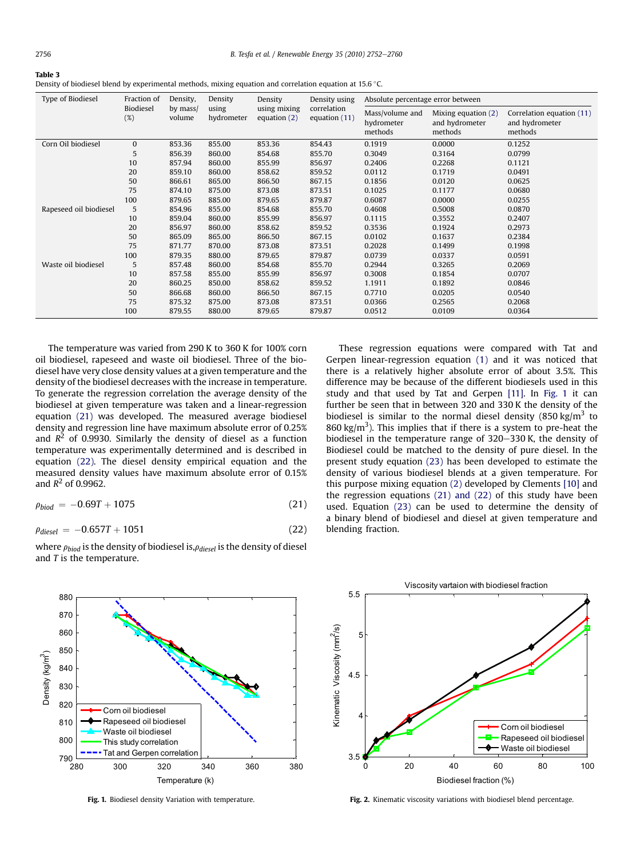<span id="page-4-0"></span>

| Table 3                                                                                                           |  |
|-------------------------------------------------------------------------------------------------------------------|--|
| Density of biodiesel blend by experimental methods, mixing equation and correlation equation at 15.6 $\degree$ C. |  |

| Type of Biodiesel      | Fraction of      | Density,           | Density             | Density                                                          | Density using | Absolute percentage error between        |                                                  |                                                        |  |
|------------------------|------------------|--------------------|---------------------|------------------------------------------------------------------|---------------|------------------------------------------|--------------------------------------------------|--------------------------------------------------------|--|
|                        | Biodiesel<br>(%) | by mass/<br>volume | using<br>hydrometer | correlation<br>using mixing<br>equation $(11)$<br>equation $(2)$ |               | Mass/volume and<br>hydrometer<br>methods | Mixing equation (2)<br>and hydrometer<br>methods | Correlation equation (11)<br>and hydrometer<br>methods |  |
| Corn Oil biodiesel     | $\bf{0}$         | 853.36             | 855.00              | 853.36                                                           | 854.43        | 0.1919                                   | 0.0000                                           | 0.1252                                                 |  |
|                        | 5                | 856.39             | 860.00              | 854.68                                                           | 855.70        | 0.3049                                   | 0.3164                                           | 0.0799                                                 |  |
|                        | 10               | 857.94             | 860.00              | 855.99                                                           | 856.97        | 0.2406                                   | 0.2268                                           | 0.1121                                                 |  |
|                        | 20               | 859.10             | 860.00              | 858.62                                                           | 859.52        | 0.0112                                   | 0.1719                                           | 0.0491                                                 |  |
|                        | 50               | 866.61             | 865.00              | 866.50                                                           | 867.15        | 0.1856                                   | 0.0120                                           | 0.0625                                                 |  |
|                        | 75               | 874.10             | 875.00              | 873.08                                                           | 873.51        | 0.1025                                   | 0.1177                                           | 0.0680                                                 |  |
|                        | 100              | 879.65             | 885.00              | 879.65                                                           | 879.87        | 0.6087                                   | 0.0000                                           | 0.0255                                                 |  |
| Rapeseed oil biodiesel | 5                | 854.96             | 855.00              | 854.68                                                           | 855.70        | 0.4608                                   | 0.5008                                           | 0.0870                                                 |  |
|                        | 10               | 859.04             | 860.00              | 855.99                                                           | 856.97        | 0.1115                                   | 0.3552                                           | 0.2407                                                 |  |
|                        | 20               | 856.97             | 860.00              | 858.62                                                           | 859.52        | 0.3536                                   | 0.1924                                           | 0.2973                                                 |  |
|                        | 50               | 865.09             | 865.00              | 866.50                                                           | 867.15        | 0.0102                                   | 0.1637                                           | 0.2384                                                 |  |
|                        | 75               | 871.77             | 870.00              | 873.08                                                           | 873.51        | 0.2028                                   | 0.1499                                           | 0.1998                                                 |  |
|                        | 100              | 879.35             | 880.00              | 879.65                                                           | 879.87        | 0.0739                                   | 0.0337                                           | 0.0591                                                 |  |
| Waste oil biodiesel    | 5                | 857.48             | 860.00              | 854.68                                                           | 855.70        | 0.2944                                   | 0.3265                                           | 0.2069                                                 |  |
|                        | 10               | 857.58             | 855.00              | 855.99                                                           | 856.97        | 0.3008                                   | 0.1854                                           | 0.0707                                                 |  |
|                        | 20               | 860.25             | 850.00              | 858.62                                                           | 859.52        | 1.1911                                   | 0.1892                                           | 0.0846                                                 |  |
|                        | 50               | 866.68             | 860.00              | 866.50                                                           | 867.15        | 0.7710                                   | 0.0205                                           | 0.0540                                                 |  |
|                        | 75               | 875.32             | 875.00              | 873.08                                                           | 873.51        | 0.0366                                   | 0.2565                                           | 0.2068                                                 |  |
|                        | 100              | 879.55             | 880.00              | 879.65                                                           | 879.87        | 0.0512                                   | 0.0109                                           | 0.0364                                                 |  |

The temperature was varied from 290 K to 360 K for 100% corn oil biodiesel, rapeseed and waste oil biodiesel. Three of the biodiesel have very close density values at a given temperature and the density of the biodiesel decreases with the increase in temperature. To generate the regression correlation the average density of the biodiesel at given temperature was taken and a linear-regression equation (21) was developed. The measured average biodiesel density and regression line have maximum absolute error of 0.25% and  $R^2$  of 0.9930. Similarly the density of diesel as a function temperature was experimentally determined and is described in equation (22). The diesel density empirical equation and the measured density values have maximum absolute error of 0.15% and  $R^2$  of 0.9962.

$$
\rho_{biod} = -0.69T + 1075 \tag{21}
$$

$$
\rho_{\text{diesel}} = -0.657T + 1051\tag{22}
$$

where  $\rho_{biod}$  is the density of biodiesel is, $\rho_{diesel}$  is the density of diesel and T is the temperature.



Fig. 1. Biodiesel density Variation with temperature.

These regression equations were compared with Tat and Gerpen linear-regression equation [\(1\)](#page-1-0) and it was noticed that there is a relatively higher absolute error of about 3.5%. This difference may be because of the different biodiesels used in this study and that used by Tat and Gerpen [\[11\]](#page-8-0). In Fig. 1 it can further be seen that in between 320 and 330 K the density of the biodiesel is similar to the normal diesel density  $(850 \text{ kg/m}^3)$  to 860 kg/m<sup>3</sup>). This implies that if there is a system to pre-heat the biodiesel in the temperature range of 320-330 K, the density of Biodiesel could be matched to the density of pure diesel. In the present study equation [\(23\)](#page-5-0) has been developed to estimate the density of various biodiesel blends at a given temperature. For this purpose mixing equation [\(2\)](#page-1-0) developed by Clements [\[10\]](#page-8-0) and the regression equations (21) and (22) of this study have been used. Equation [\(23\)](#page-5-0) can be used to determine the density of a binary blend of biodiesel and diesel at given temperature and blending fraction.



Fig. 2. Kinematic viscosity variations with biodiesel blend percentage.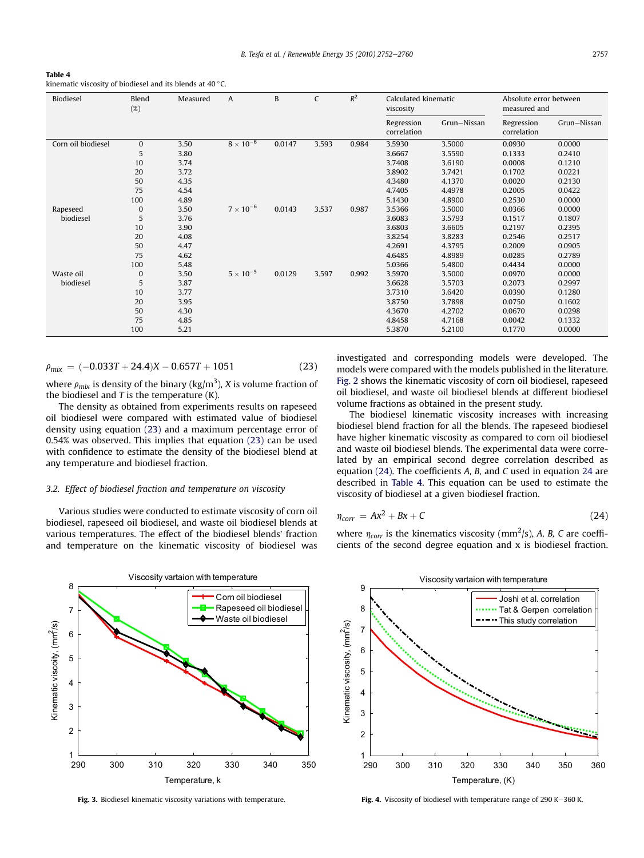<span id="page-5-0"></span>

| Table 4                                                            |  |
|--------------------------------------------------------------------|--|
| kinematic viscosity of biodiesel and its blends at 40 $\degree$ C. |  |

| Biodiesel          | Blend<br>(%) | Measured | A                  | B      | C     | $R^2$ | Calculated kinematic<br>viscosity |             | Absolute error between<br>measured and |             |
|--------------------|--------------|----------|--------------------|--------|-------|-------|-----------------------------------|-------------|----------------------------------------|-------------|
|                    |              |          |                    |        |       |       | Regression<br>correlation         | Grun-Nissan | Regression<br>correlation              | Grun-Nissan |
| Corn oil biodiesel | $\bf{0}$     | 3.50     | $8\times10^{-6}$   | 0.0147 | 3.593 | 0.984 | 3.5930                            | 3.5000      | 0.0930                                 | 0.0000      |
|                    | 5            | 3.80     |                    |        |       |       | 3.6667                            | 3.5590      | 0.1333                                 | 0.2410      |
|                    | 10           | 3.74     |                    |        |       |       | 3.7408                            | 3.6190      | 0.0008                                 | 0.1210      |
|                    | 20           | 3.72     |                    |        |       |       | 3.8902                            | 3.7421      | 0.1702                                 | 0.0221      |
|                    | 50           | 4.35     |                    |        |       |       | 4.3480                            | 4.1370      | 0.0020                                 | 0.2130      |
|                    | 75           | 4.54     |                    |        |       |       | 4.7405                            | 4.4978      | 0.2005                                 | 0.0422      |
|                    | 100          | 4.89     |                    |        |       |       | 5.1430                            | 4.8900      | 0.2530                                 | 0.0000      |
| Rapeseed           | $\bf{0}$     | 3.50     | $7\times10^{-6}$   | 0.0143 | 3.537 | 0.987 | 3.5366                            | 3.5000      | 0.0366                                 | 0.0000      |
| biodiesel          | 5            | 3.76     |                    |        |       |       | 3.6083                            | 3.5793      | 0.1517                                 | 0.1807      |
|                    | 10           | 3.90     |                    |        |       |       | 3.6803                            | 3.6605      | 0.2197                                 | 0.2395      |
|                    | 20           | 4.08     |                    |        |       |       | 3.8254                            | 3.8283      | 0.2546                                 | 0.2517      |
|                    | 50           | 4.47     |                    |        |       |       | 4.2691                            | 4.3795      | 0.2009                                 | 0.0905      |
|                    | 75           | 4.62     |                    |        |       |       | 4.6485                            | 4.8989      | 0.0285                                 | 0.2789      |
|                    | 100          | 5.48     |                    |        |       |       | 5.0366                            | 5.4800      | 0.4434                                 | 0.0000      |
| Waste oil          | 0            | 3.50     | $5 \times 10^{-5}$ | 0.0129 | 3.597 | 0.992 | 3.5970                            | 3.5000      | 0.0970                                 | 0.0000      |
| biodiesel          | 5            | 3.87     |                    |        |       |       | 3.6628                            | 3.5703      | 0.2073                                 | 0.2997      |
|                    | 10           | 3.77     |                    |        |       |       | 3.7310                            | 3.6420      | 0.0390                                 | 0.1280      |
|                    | 20           | 3.95     |                    |        |       |       | 3.8750                            | 3.7898      | 0.0750                                 | 0.1602      |
|                    | 50           | 4.30     |                    |        |       |       | 4.3670                            | 4.2702      | 0.0670                                 | 0.0298      |
|                    | 75           | 4.85     |                    |        |       |       | 4.8458                            | 4.7168      | 0.0042                                 | 0.1332      |
|                    | 100          | 5.21     |                    |        |       |       | 5.3870                            | 5.2100      | 0.1770                                 | 0.0000      |

$$
\rho_{mix} = (-0.033T + 24.4)X - 0.657T + 1051 \tag{23}
$$

where  $\rho_{mix}$  is density of the binary (kg/m<sup>3</sup>), *X* is volume fraction of the biodiscal and *T* is the temperature (K) the biodiesel and  $T$  is the temperature  $(K)$ .

The density as obtained from experiments results on rapeseed oil biodiesel were compared with estimated value of biodiesel density using equation (23) and a maximum percentage error of 0.54% was observed. This implies that equation (23) can be used with confidence to estimate the density of the biodiesel blend at any temperature and biodiesel fraction.

### 3.2. Effect of biodiesel fraction and temperature on viscosity

Various studies were conducted to estimate viscosity of corn oil biodiesel, rapeseed oil biodiesel, and waste oil biodiesel blends at various temperatures. The effect of the biodiesel blends' fraction and temperature on the kinematic viscosity of biodiesel was



Fig. 3. Biodiesel kinematic viscosity variations with temperature.

investigated and corresponding models were developed. The models were compared with the models published in the literature. [Fig. 2](#page-4-0) shows the kinematic viscosity of corn oil biodiesel, rapeseed oil biodiesel, and waste oil biodiesel blends at different biodiesel volume fractions as obtained in the present study.

The biodiesel kinematic viscosity increases with increasing biodiesel blend fraction for all the blends. The rapeseed biodiesel have higher kinematic viscosity as compared to corn oil biodiesel and waste oil biodiesel blends. The experimental data were correlated by an empirical second degree correlation described as equation (24). The coefficients A, B, and C used in equation 24 are described in Table 4. This equation can be used to estimate the viscosity of biodiesel at a given biodiesel fraction.

$$
\eta_{corr} = Ax^2 + Bx + C \tag{24}
$$

where  $\eta_{corr}$  is the kinematics viscosity ( $\text{mm}^2/\text{s}$ ), A, B, C are coeffi-<br>cients of the second degree equation and x is biodiesel fraction cients of the second degree equation and x is biodiesel fraction.



Fig. 4. Viscosity of biodiesel with temperature range of 290 K-360 K.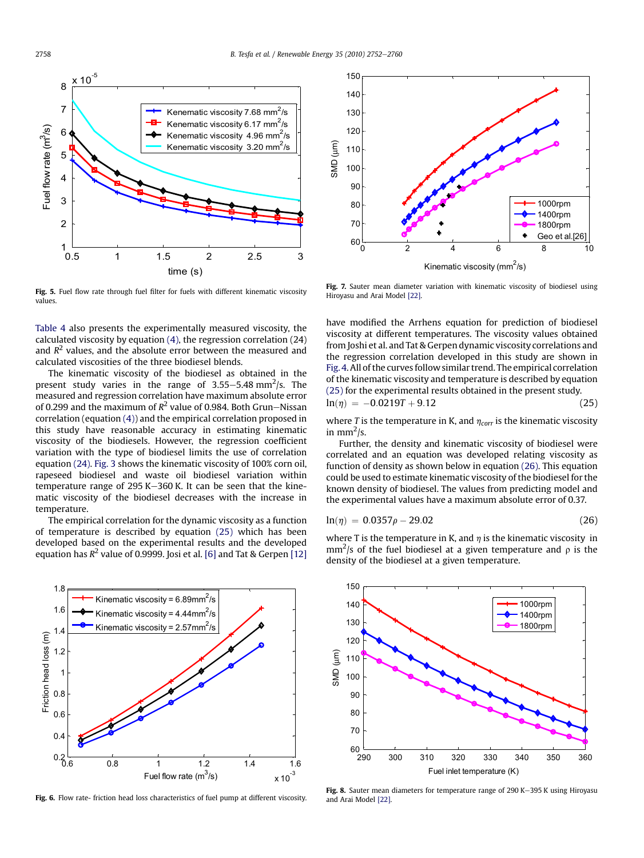<span id="page-6-0"></span>

Fig. 5. Fuel flow rate through fuel filter for fuels with different kinematic viscosity values.

[Table 4](#page-5-0) also presents the experimentally measured viscosity, the calculated viscosity by equation [\(4\)](#page-1-0), the regression correlation (24) and  $R^2$  values, and the absolute error between the measured and calculated viscosities of the three biodiesel blends.

The kinematic viscosity of the biodiesel as obtained in the present study varies in the range of  $3.55-5.48$  mm<sup>2</sup>/s. The measured and regression correlation have maximum absolute error of 0.299 and the maximum of  $R^2$  value of 0.984. Both Grun–Nissan correlation (equation [\(4\)\)](#page-1-0) and the empirical correlation proposed in this study have reasonable accuracy in estimating kinematic viscosity of the biodiesels. However, the regression coefficient variation with the type of biodiesel limits the use of correlation equation [\(24\)](#page-5-0). [Fig. 3](#page-5-0) shows the kinematic viscosity of 100% corn oil, rapeseed biodiesel and waste oil biodiesel variation within temperature range of 295 K $-$ 360 K. It can be seen that the kinematic viscosity of the biodiesel decreases with the increase in temperature.

The empirical correlation for the dynamic viscosity as a function of temperature is described by equation (25) which has been developed based on the experimental results and the developed equation has  $R^2$  value of 0.9999. Josi et al. [\[6\]](#page-7-0) and Tat & Gerpen [\[12\]](#page-8-0)



Fig. 6. Flow rate- friction head loss characteristics of fuel pump at different viscosity.



Fig. 7. Sauter mean diameter variation with kinematic viscosity of biodiesel using Hiroyasu and Arai Model [\[22\]](#page-8-0).

have modified the Arrhens equation for prediction of biodiesel viscosity at different temperatures. The viscosity values obtained from Joshi et al. and Tat & Gerpen dynamic viscosity correlations and the regression correlation developed in this study are shown in [Fig. 4.](#page-5-0) All of the curves follow similar trend. The empirical correlation of the kinematic viscosity and temperature is described by equation (25) for the experimental results obtained in the present study.

$$
\ln(\eta) = -0.0219T + 9.12\tag{25}
$$

where T is the temperature in K, and  $\eta_{corr}$  is the kinematic viscosity in mm<sup>2</sup>/s.

Further, the density and kinematic viscosity of biodiesel were correlated and an equation was developed relating viscosity as function of density as shown below in equation (26). This equation could be used to estimate kinematic viscosity of the biodiesel for the known density of biodiesel. The values from predicting model and the experimental values have a maximum absolute error of 0.37.

$$
\ln(\eta) = 0.0357\rho - 29.02\tag{26}
$$

where T is the temperature in K, and  $\eta$  is the kinematic viscosity in mm<sup>2</sup>/s of the fuel biodiesel at a given temperature and  $\rho$  is the density of the biodiesel at a given temperature.



Fig. 8. Sauter mean diameters for temperature range of 290 K $-$ 395 K using Hiroyasu and Arai Model [\[22\]](#page-8-0).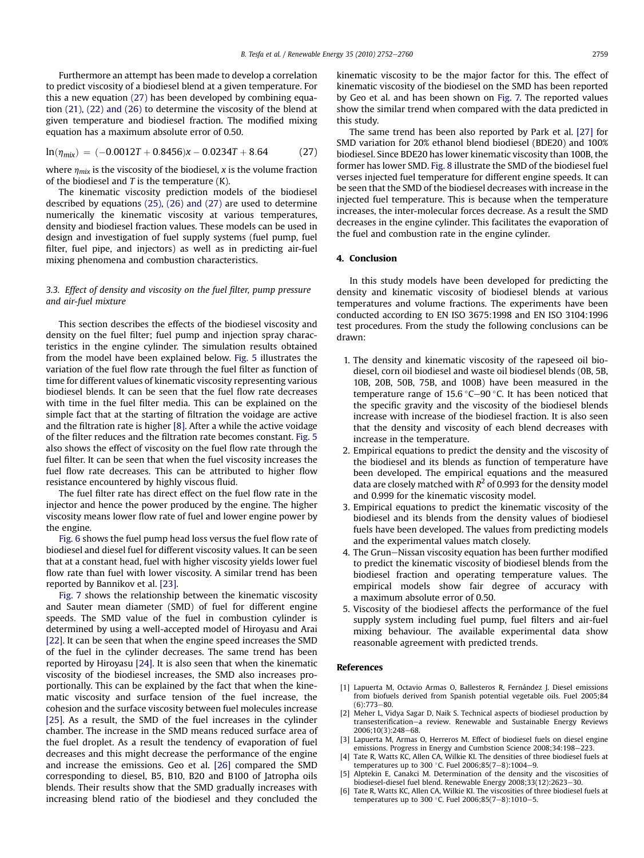<span id="page-7-0"></span>Furthermore an attempt has been made to develop a correlation to predict viscosity of a biodiesel blend at a given temperature. For this a new equation (27) has been developed by combining equation [\(21\), \(22\) and \(26\)](#page-4-0) to determine the viscosity of the blend at given temperature and biodiesel fraction. The modified mixing equation has a maximum absolute error of 0.50.

$$
\ln(\eta_{mix}) = (-0.0012T + 0.8456)x - 0.0234T + 8.64 \tag{27}
$$

where  $\eta_{mix}$  is the viscosity of the biodiesel, x is the volume fraction of the biodiesel and T is the temperature  $(K)$ of the biodiesel and  $T$  is the temperature  $(K)$ .

The kinematic viscosity prediction models of the biodiesel described by equations [\(25\), \(26\) and \(27\)](#page-6-0) are used to determine numerically the kinematic viscosity at various temperatures, density and biodiesel fraction values. These models can be used in design and investigation of fuel supply systems (fuel pump, fuel filter, fuel pipe, and injectors) as well as in predicting air-fuel mixing phenomena and combustion characteristics.

# 3.3. Effect of density and viscosity on the fuel filter, pump pressure and air-fuel mixture

This section describes the effects of the biodiesel viscosity and density on the fuel filter; fuel pump and injection spray characteristics in the engine cylinder. The simulation results obtained from the model have been explained below. [Fig. 5](#page-6-0) illustrates the variation of the fuel flow rate through the fuel filter as function of time for different values of kinematic viscosity representing various biodiesel blends. It can be seen that the fuel flow rate decreases with time in the fuel filter media. This can be explained on the simple fact that at the starting of filtration the voidage are active and the filtration rate is higher [\[8\]](#page-8-0). After a while the active voidage of the filter reduces and the filtration rate becomes constant. [Fig. 5](#page-6-0) also shows the effect of viscosity on the fuel flow rate through the fuel filter. It can be seen that when the fuel viscosity increases the fuel flow rate decreases. This can be attributed to higher flow resistance encountered by highly viscous fluid.

The fuel filter rate has direct effect on the fuel flow rate in the injector and hence the power produced by the engine. The higher viscosity means lower flow rate of fuel and lower engine power by the engine.

[Fig. 6](#page-6-0) shows the fuel pump head loss versus the fuel flow rate of biodiesel and diesel fuel for different viscosity values. It can be seen that at a constant head, fuel with higher viscosity yields lower fuel flow rate than fuel with lower viscosity. A similar trend has been reported by Bannikov et al. [\[23\]](#page-8-0).

[Fig. 7](#page-6-0) shows the relationship between the kinematic viscosity and Sauter mean diameter (SMD) of fuel for different engine speeds. The SMD value of the fuel in combustion cylinder is determined by using a well-accepted model of Hiroyasu and Arai [\[22\].](#page-8-0) It can be seen that when the engine speed increases the SMD of the fuel in the cylinder decreases. The same trend has been reported by Hiroyasu [\[24\].](#page-8-0) It is also seen that when the kinematic viscosity of the biodiesel increases, the SMD also increases proportionally. This can be explained by the fact that when the kinematic viscosity and surface tension of the fuel increase, the cohesion and the surface viscosity between fuel molecules increase [\[25\].](#page-8-0) As a result, the SMD of the fuel increases in the cylinder chamber. The increase in the SMD means reduced surface area of the fuel droplet. As a result the tendency of evaporation of fuel decreases and this might decrease the performance of the engine and increase the emissions. Geo et al. [\[26\]](#page-8-0) compared the SMD corresponding to diesel, B5, B10, B20 and B100 of Jatropha oils blends. Their results show that the SMD gradually increases with increasing blend ratio of the biodiesel and they concluded the kinematic viscosity to be the major factor for this. The effect of kinematic viscosity of the biodiesel on the SMD has been reported by Geo et al. and has been shown on [Fig. 7.](#page-6-0) The reported values show the similar trend when compared with the data predicted in this study.

The same trend has been also reported by Park et al. [\[27\]](#page-8-0) for SMD variation for 20% ethanol blend biodiesel (BDE20) and 100% biodiesel. Since BDE20 has lower kinematic viscosity than 100B, the former has lower SMD. [Fig. 8](#page-6-0) illustrate the SMD of the biodiesel fuel verses injected fuel temperature for different engine speeds. It can be seen that the SMD of the biodiesel decreases with increase in the injected fuel temperature. This is because when the temperature increases, the inter-molecular forces decrease. As a result the SMD decreases in the engine cylinder. This facilitates the evaporation of the fuel and combustion rate in the engine cylinder.

## 4. Conclusion

In this study models have been developed for predicting the density and kinematic viscosity of biodiesel blends at various temperatures and volume fractions. The experiments have been conducted according to EN ISO 3675:1998 and EN ISO 3104:1996 test procedures. From the study the following conclusions can be drawn:

- 1. The density and kinematic viscosity of the rapeseed oil biodiesel, corn oil biodiesel and waste oil biodiesel blends (0B, 5B, 10B, 20B, 50B, 75B, and 100B) have been measured in the temperature range of  $15.6\degree$ C $-90\degree$ C. It has been noticed that the specific gravity and the viscosity of the biodiesel blends increase with increase of the biodiesel fraction. It is also seen that the density and viscosity of each blend decreases with increase in the temperature.
- 2. Empirical equations to predict the density and the viscosity of the biodiesel and its blends as function of temperature have been developed. The empirical equations and the measured data are closely matched with  $R^2$  of 0.993 for the density model and 0.999 for the kinematic viscosity model.
- 3. Empirical equations to predict the kinematic viscosity of the biodiesel and its blends from the density values of biodiesel fuels have been developed. The values from predicting models and the experimental values match closely.
- 4. The Grun-Nissan viscosity equation has been further modified to predict the kinematic viscosity of biodiesel blends from the biodiesel fraction and operating temperature values. The empirical models show fair degree of accuracy with a maximum absolute error of 0.50.
- 5. Viscosity of the biodiesel affects the performance of the fuel supply system including fuel pump, fuel filters and air-fuel mixing behaviour. The available experimental data show reasonable agreement with predicted trends.

#### References

- [1] Lapuerta M, Octavio Armas O, Ballesteros R, Fernández J. Diesel emissions from biofuels derived from Spanish potential vegetable oils. Fuel 2005;84  $(6)$  $-773 - 80$
- [2] Meher L, Vidya Sagar D, Naik S. Technical aspects of biodiesel production by transesterification-a review. Renewable and Sustainable Energy Reviews 2006:10(3):248-68.
- [3] Lapuerta M, Armas O, Herreros M. Effect of biodiesel fuels on diesel engine emissions. Progress in Energy and Cumbstion Science 2008;34:198-223.
- [4] Tate R, Watts KC, Allen CA, Wilkie KI. The densities of three biodiesel fuels at temperatures up to 300 °C. Fuel 2006;85(7–8):1004–9.
- [5] Alptekin E, Canakci M. Determination of the density and the viscosities of biodiesel-diesel fuel blend. Renewable Energy 2008;33(12):2623-30.
- [6] Tate R, Watts KC, Allen CA, Wilkie KI. The viscosities of three biodiesel fuels at temperatures up to 300 °C. Fuel 2006;85(7–8):1010–5.